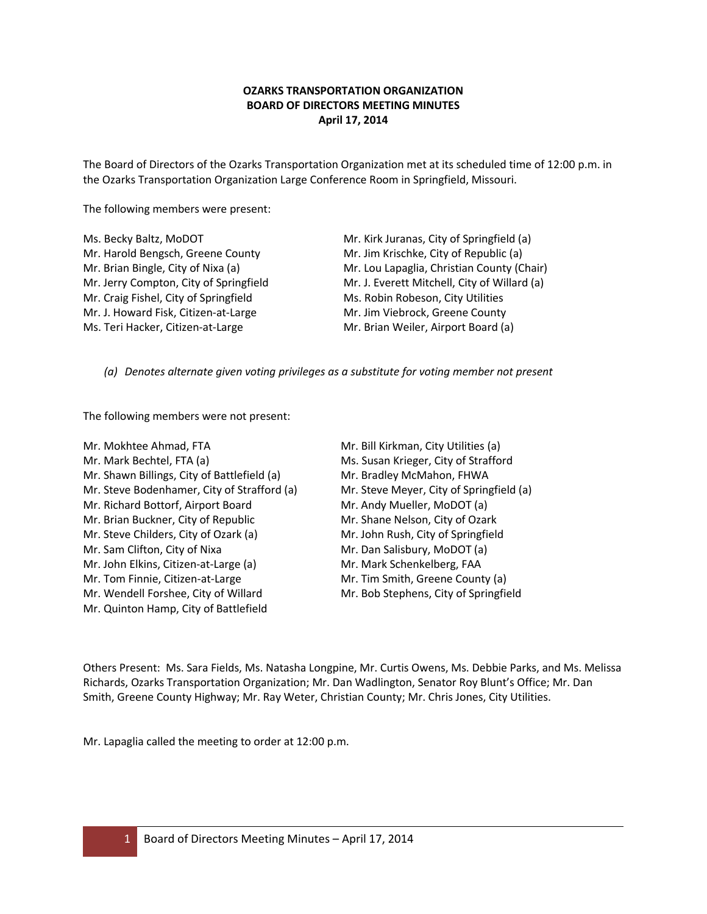# **OZARKS TRANSPORTATION ORGANIZATION BOARD OF DIRECTORS MEETING MINUTES April 17, 2014**

The Board of Directors of the Ozarks Transportation Organization met at its scheduled time of 12:00 p.m. in the Ozarks Transportation Organization Large Conference Room in Springfield, Missouri.

The following members were present:

| Ms. Becky Baltz, MoDOT                 | Mr. Kirk Juranas, City of Springfield (a)    |
|----------------------------------------|----------------------------------------------|
| Mr. Harold Bengsch, Greene County      | Mr. Jim Krischke, City of Republic (a)       |
| Mr. Brian Bingle, City of Nixa (a)     | Mr. Lou Lapaglia, Christian County (Chair)   |
| Mr. Jerry Compton, City of Springfield | Mr. J. Everett Mitchell, City of Willard (a) |
| Mr. Craig Fishel, City of Springfield  | Ms. Robin Robeson, City Utilities            |
| Mr. J. Howard Fisk, Citizen-at-Large   | Mr. Jim Viebrock, Greene County              |
| Ms. Teri Hacker, Citizen-at-Large      | Mr. Brian Weiler, Airport Board (a)          |

*(a) Denotes alternate given voting privileges as a substitute for voting member not present*

The following members were not present:

- Mr. Mokhtee Ahmad, FTA Mr. Bill Kirkman, City Utilities (a) Mr. Mark Bechtel, FTA (a) Ms. Susan Krieger, City of Strafford Mr. Shawn Billings, City of Battlefield (a) Mr. Bradley McMahon, FHWA Mr. Steve Bodenhamer, City of Strafford (a) Mr. Steve Meyer, City of Springfield (a) Mr. Richard Bottorf, Airport Board Mr. Andy Mueller, MoDOT (a) Mr. Brian Buckner, City of Republic Mr. Shane Nelson, City of Ozark Mr. Steve Childers, City of Ozark (a) Mr. John Rush, City of Springfield Mr. Sam Clifton, City of Nixa Mr. Dan Salisbury, MoDOT (a) Mr. John Elkins, Citizen-at-Large (a) Mr. Mark Schenkelberg, FAA Mr. Tom Finnie, Citizen-at-Large Mr. Tim Smith, Greene County (a) Mr. Wendell Forshee, City of Willard Mr. Bob Stephens, City of Springfield Mr. Quinton Hamp, City of Battlefield
- 

Others Present: Ms. Sara Fields, Ms. Natasha Longpine, Mr. Curtis Owens, Ms. Debbie Parks, and Ms. Melissa Richards, Ozarks Transportation Organization; Mr. Dan Wadlington, Senator Roy Blunt's Office; Mr. Dan Smith, Greene County Highway; Mr. Ray Weter, Christian County; Mr. Chris Jones, City Utilities.

Mr. Lapaglia called the meeting to order at 12:00 p.m.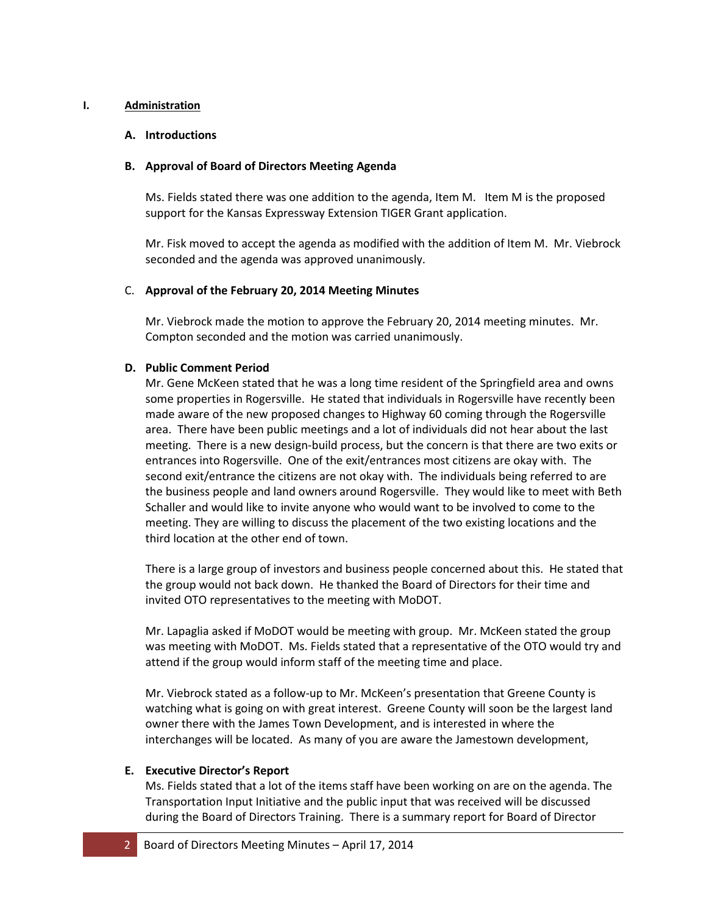#### **I. Administration**

## **A. Introductions**

## **B. Approval of Board of Directors Meeting Agenda**

Ms. Fields stated there was one addition to the agenda, Item M. Item M is the proposed support for the Kansas Expressway Extension TIGER Grant application.

Mr. Fisk moved to accept the agenda as modified with the addition of Item M. Mr. Viebrock seconded and the agenda was approved unanimously.

## C. **Approval of the February 20, 2014 Meeting Minutes**

Mr. Viebrock made the motion to approve the February 20, 2014 meeting minutes. Mr. Compton seconded and the motion was carried unanimously.

## **D. Public Comment Period**

Mr. Gene McKeen stated that he was a long time resident of the Springfield area and owns some properties in Rogersville. He stated that individuals in Rogersville have recently been made aware of the new proposed changes to Highway 60 coming through the Rogersville area. There have been public meetings and a lot of individuals did not hear about the last meeting. There is a new design-build process, but the concern is that there are two exits or entrances into Rogersville. One of the exit/entrances most citizens are okay with. The second exit/entrance the citizens are not okay with. The individuals being referred to are the business people and land owners around Rogersville. They would like to meet with Beth Schaller and would like to invite anyone who would want to be involved to come to the meeting. They are willing to discuss the placement of the two existing locations and the third location at the other end of town.

There is a large group of investors and business people concerned about this. He stated that the group would not back down. He thanked the Board of Directors for their time and invited OTO representatives to the meeting with MoDOT.

Mr. Lapaglia asked if MoDOT would be meeting with group. Mr. McKeen stated the group was meeting with MoDOT. Ms. Fields stated that a representative of the OTO would try and attend if the group would inform staff of the meeting time and place.

Mr. Viebrock stated as a follow-up to Mr. McKeen's presentation that Greene County is watching what is going on with great interest. Greene County will soon be the largest land owner there with the James Town Development, and is interested in where the interchanges will be located. As many of you are aware the Jamestown development,

# **E. Executive Director's Report**

Ms. Fields stated that a lot of the items staff have been working on are on the agenda. The Transportation Input Initiative and the public input that was received will be discussed during the Board of Directors Training. There is a summary report for Board of Director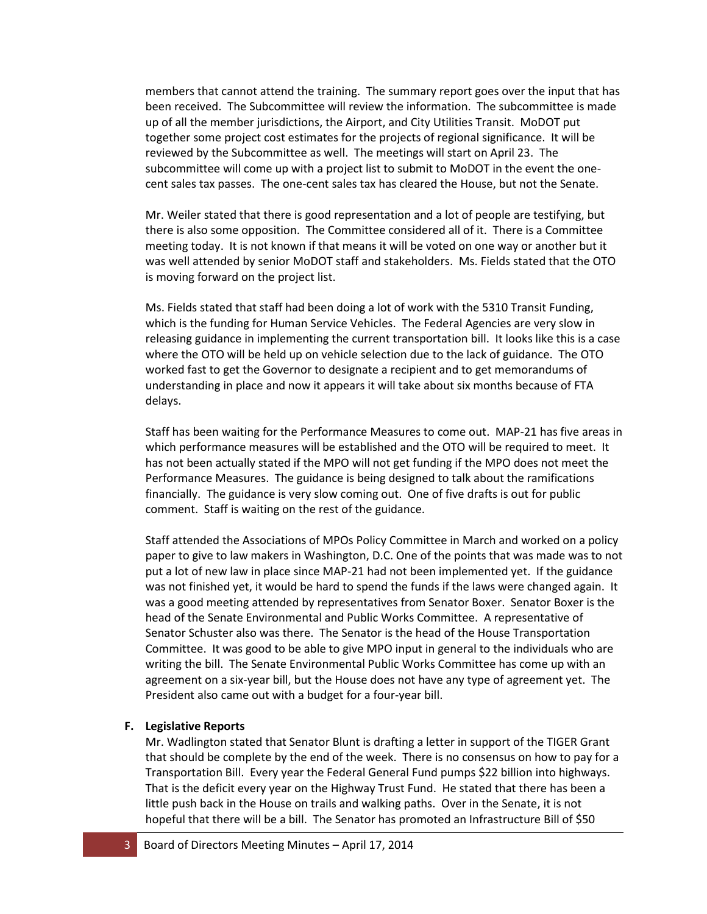members that cannot attend the training. The summary report goes over the input that has been received. The Subcommittee will review the information. The subcommittee is made up of all the member jurisdictions, the Airport, and City Utilities Transit. MoDOT put together some project cost estimates for the projects of regional significance. It will be reviewed by the Subcommittee as well. The meetings will start on April 23. The subcommittee will come up with a project list to submit to MoDOT in the event the onecent sales tax passes. The one-cent sales tax has cleared the House, but not the Senate.

Mr. Weiler stated that there is good representation and a lot of people are testifying, but there is also some opposition. The Committee considered all of it. There is a Committee meeting today. It is not known if that means it will be voted on one way or another but it was well attended by senior MoDOT staff and stakeholders. Ms. Fields stated that the OTO is moving forward on the project list.

Ms. Fields stated that staff had been doing a lot of work with the 5310 Transit Funding, which is the funding for Human Service Vehicles. The Federal Agencies are very slow in releasing guidance in implementing the current transportation bill. It looks like this is a case where the OTO will be held up on vehicle selection due to the lack of guidance. The OTO worked fast to get the Governor to designate a recipient and to get memorandums of understanding in place and now it appears it will take about six months because of FTA delays.

Staff has been waiting for the Performance Measures to come out. MAP-21 has five areas in which performance measures will be established and the OTO will be required to meet. It has not been actually stated if the MPO will not get funding if the MPO does not meet the Performance Measures. The guidance is being designed to talk about the ramifications financially. The guidance is very slow coming out. One of five drafts is out for public comment. Staff is waiting on the rest of the guidance.

Staff attended the Associations of MPOs Policy Committee in March and worked on a policy paper to give to law makers in Washington, D.C. One of the points that was made was to not put a lot of new law in place since MAP-21 had not been implemented yet. If the guidance was not finished yet, it would be hard to spend the funds if the laws were changed again. It was a good meeting attended by representatives from Senator Boxer. Senator Boxer is the head of the Senate Environmental and Public Works Committee. A representative of Senator Schuster also was there. The Senator is the head of the House Transportation Committee. It was good to be able to give MPO input in general to the individuals who are writing the bill. The Senate Environmental Public Works Committee has come up with an agreement on a six-year bill, but the House does not have any type of agreement yet. The President also came out with a budget for a four-year bill.

#### **F. Legislative Reports**

Mr. Wadlington stated that Senator Blunt is drafting a letter in support of the TIGER Grant that should be complete by the end of the week. There is no consensus on how to pay for a Transportation Bill. Every year the Federal General Fund pumps \$22 billion into highways. That is the deficit every year on the Highway Trust Fund. He stated that there has been a little push back in the House on trails and walking paths. Over in the Senate, it is not hopeful that there will be a bill. The Senator has promoted an Infrastructure Bill of \$50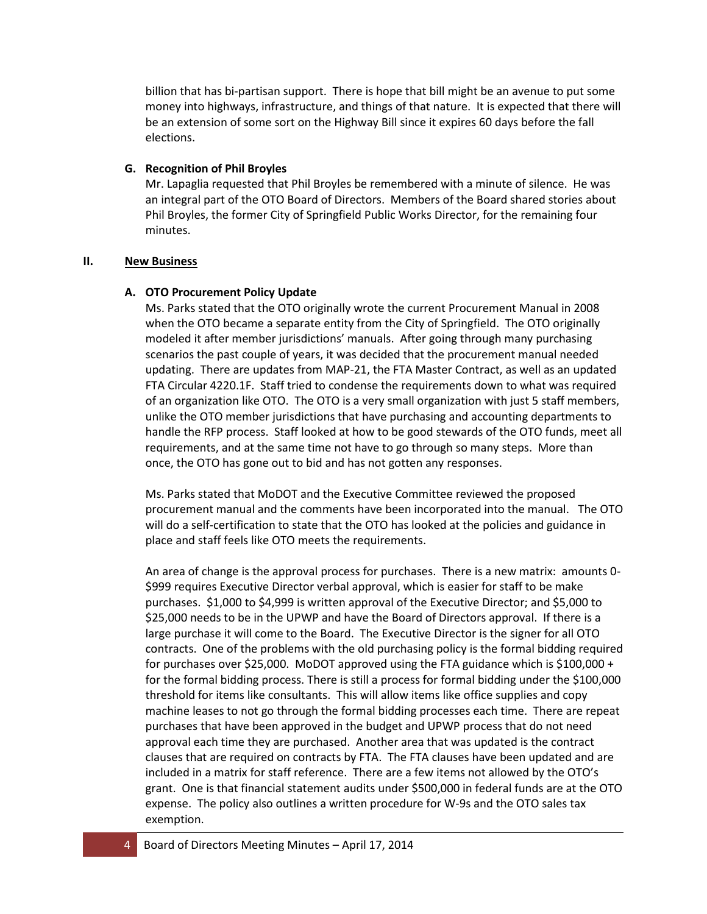billion that has bi-partisan support. There is hope that bill might be an avenue to put some money into highways, infrastructure, and things of that nature. It is expected that there will be an extension of some sort on the Highway Bill since it expires 60 days before the fall elections.

## **G. Recognition of Phil Broyles**

Mr. Lapaglia requested that Phil Broyles be remembered with a minute of silence. He was an integral part of the OTO Board of Directors. Members of the Board shared stories about Phil Broyles, the former City of Springfield Public Works Director, for the remaining four minutes.

## **II. New Business**

# **A. OTO Procurement Policy Update**

Ms. Parks stated that the OTO originally wrote the current Procurement Manual in 2008 when the OTO became a separate entity from the City of Springfield. The OTO originally modeled it after member jurisdictions' manuals. After going through many purchasing scenarios the past couple of years, it was decided that the procurement manual needed updating. There are updates from MAP-21, the FTA Master Contract, as well as an updated FTA Circular 4220.1F. Staff tried to condense the requirements down to what was required of an organization like OTO. The OTO is a very small organization with just 5 staff members, unlike the OTO member jurisdictions that have purchasing and accounting departments to handle the RFP process. Staff looked at how to be good stewards of the OTO funds, meet all requirements, and at the same time not have to go through so many steps. More than once, the OTO has gone out to bid and has not gotten any responses.

Ms. Parks stated that MoDOT and the Executive Committee reviewed the proposed procurement manual and the comments have been incorporated into the manual. The OTO will do a self-certification to state that the OTO has looked at the policies and guidance in place and staff feels like OTO meets the requirements.

An area of change is the approval process for purchases. There is a new matrix: amounts 0- \$999 requires Executive Director verbal approval, which is easier for staff to be make purchases. \$1,000 to \$4,999 is written approval of the Executive Director; and \$5,000 to \$25,000 needs to be in the UPWP and have the Board of Directors approval. If there is a large purchase it will come to the Board. The Executive Director is the signer for all OTO contracts. One of the problems with the old purchasing policy is the formal bidding required for purchases over \$25,000. MoDOT approved using the FTA guidance which is \$100,000 + for the formal bidding process. There is still a process for formal bidding under the \$100,000 threshold for items like consultants. This will allow items like office supplies and copy machine leases to not go through the formal bidding processes each time. There are repeat purchases that have been approved in the budget and UPWP process that do not need approval each time they are purchased. Another area that was updated is the contract clauses that are required on contracts by FTA. The FTA clauses have been updated and are included in a matrix for staff reference. There are a few items not allowed by the OTO's grant. One is that financial statement audits under \$500,000 in federal funds are at the OTO expense. The policy also outlines a written procedure for W-9s and the OTO sales tax exemption.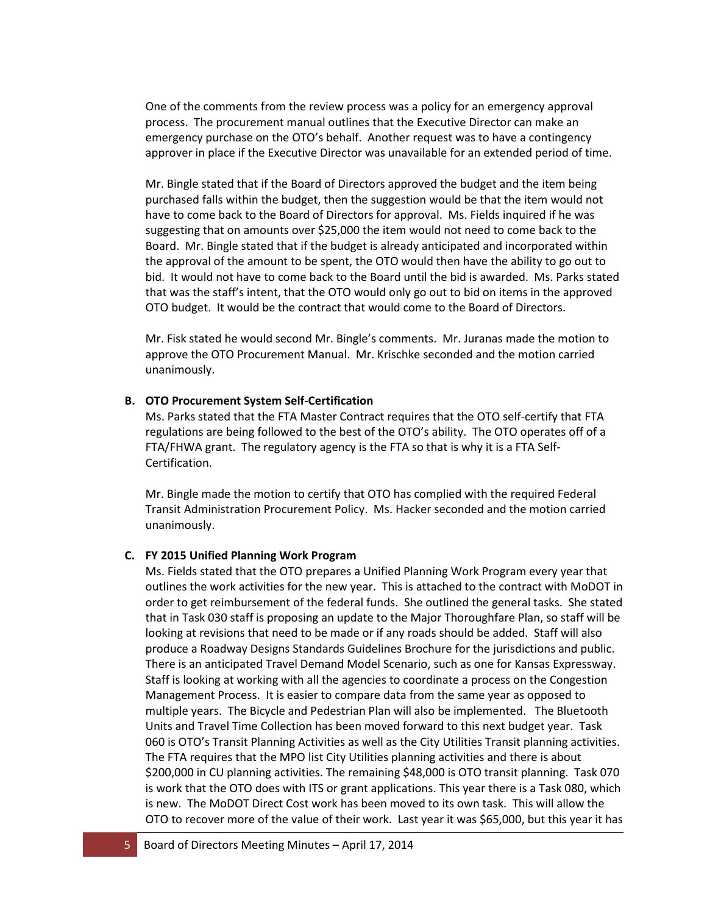One of the comments from the review process was a policy for an emergency approval process. The procurement manual outlines that the Executive Director can make an emergency purchase on the OTO's behalf. Another request was to have a contingency approver in place if the Executive Director was unavailable for an extended period of time.

Mr. Bingle stated that if the Board of Directors approved the budget and the item being purchased falls within the budget, then the suggestion would be that the item would not have to come back to the Board of Directors for approval. Ms. Fields inquired if he was suggesting that on amounts over \$25,000 the item would not need to come back to the Board. Mr. Bingle stated that if the budget is already anticipated and incorporated within the approval of the amount to be spent, the OTO would then have the ability to go out to bid. It would not have to come back to the Board until the bid is awarded. Ms. Parks stated that was the staff's intent, that the OTO would only go out to bid on items in the approved OTO budget. It would be the contract that would come to the Board of Directors.

Mr. Fisk stated he would second Mr. Bingle's comments. Mr. Juranas made the motion to approve the OTO Procurement Manual. Mr. Krischke seconded and the motion carried unanimously.

#### **B. OTO Procurement System Self-Certification**

Ms. Parks stated that the FTA Master Contract requires that the OTO self-certify that FTA regulations are being followed to the best of the OTO's ability. The OTO operates off of a FTA/FHWA grant. The regulatory agency is the FTA so that is why it is a FTA Self-Certification.

Mr. Bingle made the motion to certify that OTO has complied with the required Federal Transit Administration Procurement Policy. Ms. Hacker seconded and the motion carried unanimously.

#### **C. FY 2015 Unified Planning Work Program**

Ms. Fields stated that the OTO prepares a Unified Planning Work Program every year that outlines the work activities for the new year. This is attached to the contract with MoDOT in order to get reimbursement of the federal funds. She outlined the general tasks. She stated that in Task 030 staff is proposing an update to the Major Thoroughfare Plan, so staff will be looking at revisions that need to be made or if any roads should be added. Staff will also produce a Roadway Designs Standards Guidelines Brochure for the jurisdictions and public. There is an anticipated Travel Demand Model Scenario, such as one for Kansas Expressway. Staff is looking at working with all the agencies to coordinate a process on the Congestion Management Process. It is easier to compare data from the same year as opposed to multiple years. The Bicycle and Pedestrian Plan will also be implemented. The Bluetooth Units and Travel Time Collection has been moved forward to this next budget year. Task 060 is OTO's Transit Planning Activities as well as the City Utilities Transit planning activities. The FTA requires that the MPO list City Utilities planning activities and there is about \$200,000 in CU planning activities. The remaining \$48,000 is OTO transit planning. Task 070 is work that the OTO does with ITS or grant applications. This year there is a Task 080, which is new. The MoDOT Direct Cost work has been moved to its own task. This will allow the OTO to recover more of the value of their work. Last year it was \$65,000, but this year it has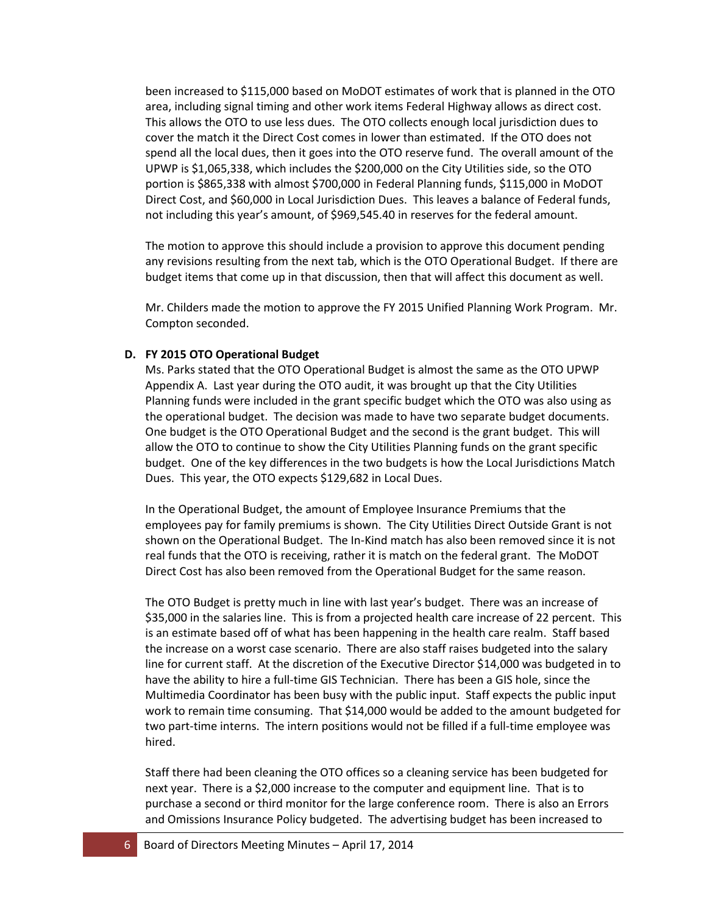been increased to \$115,000 based on MoDOT estimates of work that is planned in the OTO area, including signal timing and other work items Federal Highway allows as direct cost. This allows the OTO to use less dues. The OTO collects enough local jurisdiction dues to cover the match it the Direct Cost comes in lower than estimated. If the OTO does not spend all the local dues, then it goes into the OTO reserve fund. The overall amount of the UPWP is \$1,065,338, which includes the \$200,000 on the City Utilities side, so the OTO portion is \$865,338 with almost \$700,000 in Federal Planning funds, \$115,000 in MoDOT Direct Cost, and \$60,000 in Local Jurisdiction Dues. This leaves a balance of Federal funds, not including this year's amount, of \$969,545.40 in reserves for the federal amount.

The motion to approve this should include a provision to approve this document pending any revisions resulting from the next tab, which is the OTO Operational Budget. If there are budget items that come up in that discussion, then that will affect this document as well.

Mr. Childers made the motion to approve the FY 2015 Unified Planning Work Program. Mr. Compton seconded.

#### **D. FY 2015 OTO Operational Budget**

Ms. Parks stated that the OTO Operational Budget is almost the same as the OTO UPWP Appendix A. Last year during the OTO audit, it was brought up that the City Utilities Planning funds were included in the grant specific budget which the OTO was also using as the operational budget. The decision was made to have two separate budget documents. One budget is the OTO Operational Budget and the second is the grant budget. This will allow the OTO to continue to show the City Utilities Planning funds on the grant specific budget. One of the key differences in the two budgets is how the Local Jurisdictions Match Dues. This year, the OTO expects \$129,682 in Local Dues.

In the Operational Budget, the amount of Employee Insurance Premiums that the employees pay for family premiums is shown. The City Utilities Direct Outside Grant is not shown on the Operational Budget. The In-Kind match has also been removed since it is not real funds that the OTO is receiving, rather it is match on the federal grant. The MoDOT Direct Cost has also been removed from the Operational Budget for the same reason.

The OTO Budget is pretty much in line with last year's budget. There was an increase of \$35,000 in the salaries line. This is from a projected health care increase of 22 percent. This is an estimate based off of what has been happening in the health care realm. Staff based the increase on a worst case scenario. There are also staff raises budgeted into the salary line for current staff. At the discretion of the Executive Director \$14,000 was budgeted in to have the ability to hire a full-time GIS Technician. There has been a GIS hole, since the Multimedia Coordinator has been busy with the public input. Staff expects the public input work to remain time consuming. That \$14,000 would be added to the amount budgeted for two part-time interns. The intern positions would not be filled if a full-time employee was hired.

Staff there had been cleaning the OTO offices so a cleaning service has been budgeted for next year. There is a \$2,000 increase to the computer and equipment line. That is to purchase a second or third monitor for the large conference room. There is also an Errors and Omissions Insurance Policy budgeted. The advertising budget has been increased to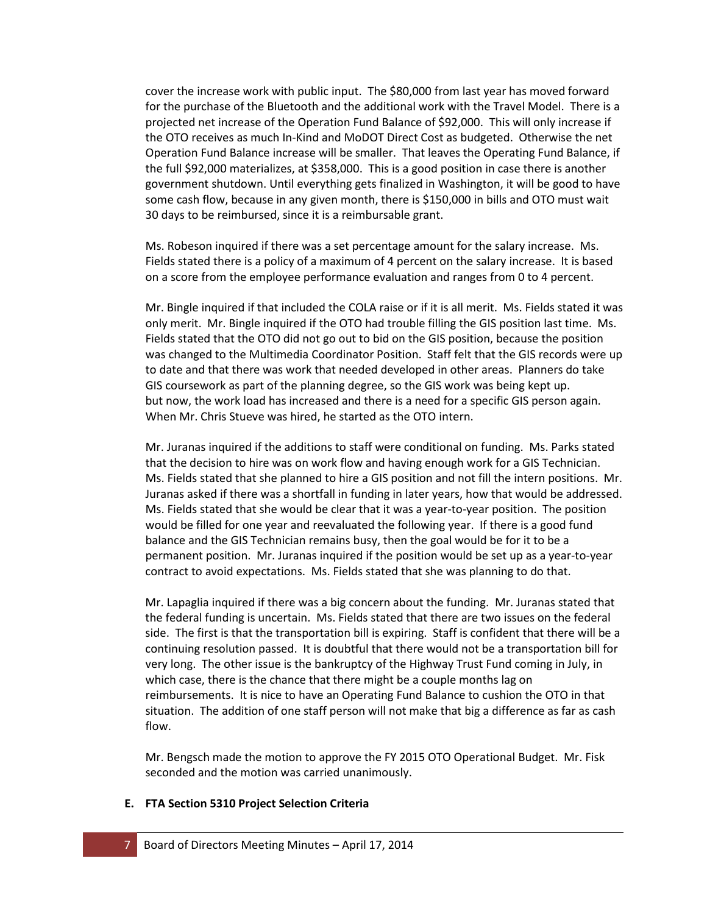cover the increase work with public input. The \$80,000 from last year has moved forward for the purchase of the Bluetooth and the additional work with the Travel Model. There is a projected net increase of the Operation Fund Balance of \$92,000. This will only increase if the OTO receives as much In-Kind and MoDOT Direct Cost as budgeted. Otherwise the net Operation Fund Balance increase will be smaller. That leaves the Operating Fund Balance, if the full \$92,000 materializes, at \$358,000. This is a good position in case there is another government shutdown. Until everything gets finalized in Washington, it will be good to have some cash flow, because in any given month, there is \$150,000 in bills and OTO must wait 30 days to be reimbursed, since it is a reimbursable grant.

Ms. Robeson inquired if there was a set percentage amount for the salary increase. Ms. Fields stated there is a policy of a maximum of 4 percent on the salary increase. It is based on a score from the employee performance evaluation and ranges from 0 to 4 percent.

Mr. Bingle inquired if that included the COLA raise or if it is all merit. Ms. Fields stated it was only merit. Mr. Bingle inquired if the OTO had trouble filling the GIS position last time. Ms. Fields stated that the OTO did not go out to bid on the GIS position, because the position was changed to the Multimedia Coordinator Position. Staff felt that the GIS records were up to date and that there was work that needed developed in other areas. Planners do take GIS coursework as part of the planning degree, so the GIS work was being kept up. but now, the work load has increased and there is a need for a specific GIS person again. When Mr. Chris Stueve was hired, he started as the OTO intern.

Mr. Juranas inquired if the additions to staff were conditional on funding. Ms. Parks stated that the decision to hire was on work flow and having enough work for a GIS Technician. Ms. Fields stated that she planned to hire a GIS position and not fill the intern positions. Mr. Juranas asked if there was a shortfall in funding in later years, how that would be addressed. Ms. Fields stated that she would be clear that it was a year-to-year position. The position would be filled for one year and reevaluated the following year. If there is a good fund balance and the GIS Technician remains busy, then the goal would be for it to be a permanent position. Mr. Juranas inquired if the position would be set up as a year-to-year contract to avoid expectations. Ms. Fields stated that she was planning to do that.

Mr. Lapaglia inquired if there was a big concern about the funding. Mr. Juranas stated that the federal funding is uncertain. Ms. Fields stated that there are two issues on the federal side. The first is that the transportation bill is expiring. Staff is confident that there will be a continuing resolution passed. It is doubtful that there would not be a transportation bill for very long. The other issue is the bankruptcy of the Highway Trust Fund coming in July, in which case, there is the chance that there might be a couple months lag on reimbursements. It is nice to have an Operating Fund Balance to cushion the OTO in that situation. The addition of one staff person will not make that big a difference as far as cash flow.

Mr. Bengsch made the motion to approve the FY 2015 OTO Operational Budget. Mr. Fisk seconded and the motion was carried unanimously.

#### **E. FTA Section 5310 Project Selection Criteria**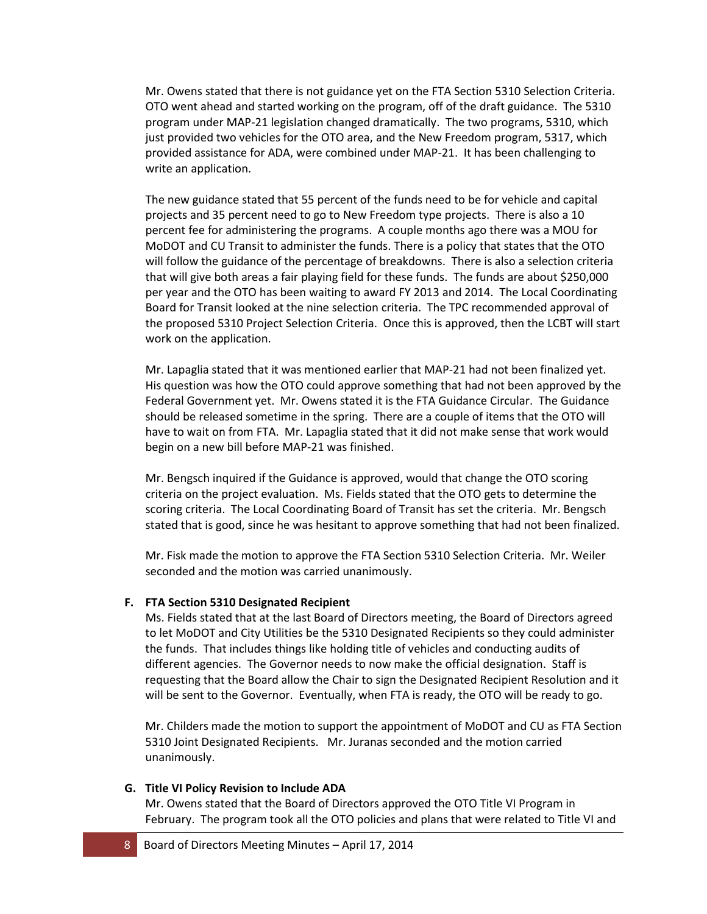Mr. Owens stated that there is not guidance yet on the FTA Section 5310 Selection Criteria. OTO went ahead and started working on the program, off of the draft guidance. The 5310 program under MAP-21 legislation changed dramatically. The two programs, 5310, which just provided two vehicles for the OTO area, and the New Freedom program, 5317, which provided assistance for ADA, were combined under MAP-21. It has been challenging to write an application.

The new guidance stated that 55 percent of the funds need to be for vehicle and capital projects and 35 percent need to go to New Freedom type projects. There is also a 10 percent fee for administering the programs. A couple months ago there was a MOU for MoDOT and CU Transit to administer the funds. There is a policy that states that the OTO will follow the guidance of the percentage of breakdowns. There is also a selection criteria that will give both areas a fair playing field for these funds. The funds are about \$250,000 per year and the OTO has been waiting to award FY 2013 and 2014. The Local Coordinating Board for Transit looked at the nine selection criteria. The TPC recommended approval of the proposed 5310 Project Selection Criteria. Once this is approved, then the LCBT will start work on the application.

Mr. Lapaglia stated that it was mentioned earlier that MAP-21 had not been finalized yet. His question was how the OTO could approve something that had not been approved by the Federal Government yet. Mr. Owens stated it is the FTA Guidance Circular. The Guidance should be released sometime in the spring. There are a couple of items that the OTO will have to wait on from FTA. Mr. Lapaglia stated that it did not make sense that work would begin on a new bill before MAP-21 was finished.

Mr. Bengsch inquired if the Guidance is approved, would that change the OTO scoring criteria on the project evaluation. Ms. Fields stated that the OTO gets to determine the scoring criteria. The Local Coordinating Board of Transit has set the criteria. Mr. Bengsch stated that is good, since he was hesitant to approve something that had not been finalized.

Mr. Fisk made the motion to approve the FTA Section 5310 Selection Criteria. Mr. Weiler seconded and the motion was carried unanimously.

#### **F. FTA Section 5310 Designated Recipient**

Ms. Fields stated that at the last Board of Directors meeting, the Board of Directors agreed to let MoDOT and City Utilities be the 5310 Designated Recipients so they could administer the funds. That includes things like holding title of vehicles and conducting audits of different agencies. The Governor needs to now make the official designation. Staff is requesting that the Board allow the Chair to sign the Designated Recipient Resolution and it will be sent to the Governor. Eventually, when FTA is ready, the OTO will be ready to go.

Mr. Childers made the motion to support the appointment of MoDOT and CU as FTA Section 5310 Joint Designated Recipients. Mr. Juranas seconded and the motion carried unanimously.

#### **G. Title VI Policy Revision to Include ADA**

Mr. Owens stated that the Board of Directors approved the OTO Title VI Program in February. The program took all the OTO policies and plans that were related to Title VI and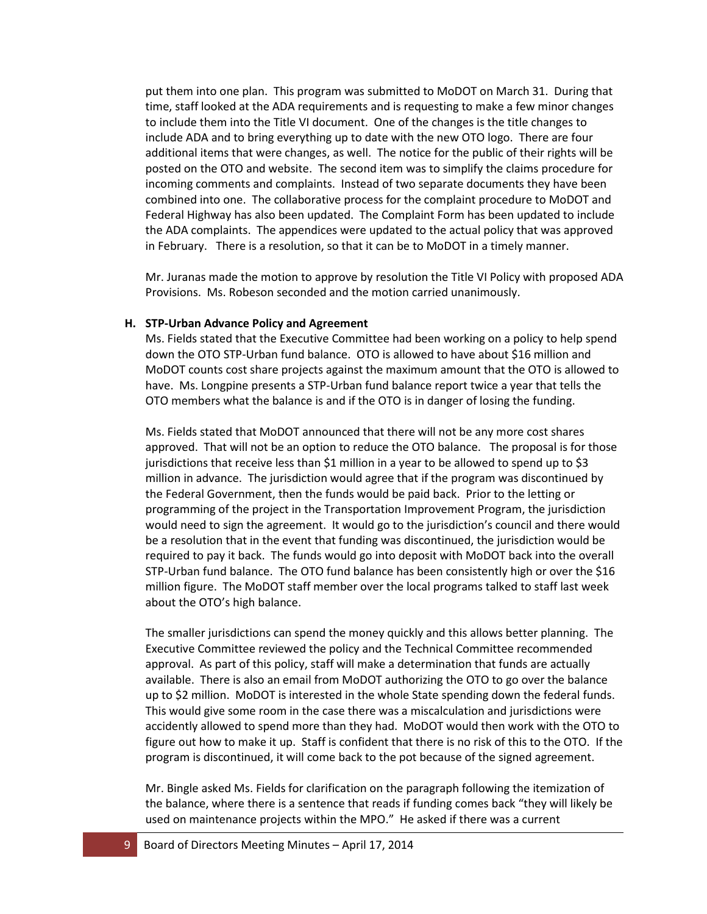put them into one plan. This program was submitted to MoDOT on March 31. During that time, staff looked at the ADA requirements and is requesting to make a few minor changes to include them into the Title VI document. One of the changes is the title changes to include ADA and to bring everything up to date with the new OTO logo. There are four additional items that were changes, as well. The notice for the public of their rights will be posted on the OTO and website. The second item was to simplify the claims procedure for incoming comments and complaints. Instead of two separate documents they have been combined into one. The collaborative process for the complaint procedure to MoDOT and Federal Highway has also been updated. The Complaint Form has been updated to include the ADA complaints. The appendices were updated to the actual policy that was approved in February. There is a resolution, so that it can be to MoDOT in a timely manner.

Mr. Juranas made the motion to approve by resolution the Title VI Policy with proposed ADA Provisions. Ms. Robeson seconded and the motion carried unanimously.

#### **H. STP-Urban Advance Policy and Agreement**

Ms. Fields stated that the Executive Committee had been working on a policy to help spend down the OTO STP-Urban fund balance. OTO is allowed to have about \$16 million and MoDOT counts cost share projects against the maximum amount that the OTO is allowed to have. Ms. Longpine presents a STP-Urban fund balance report twice a year that tells the OTO members what the balance is and if the OTO is in danger of losing the funding.

Ms. Fields stated that MoDOT announced that there will not be any more cost shares approved. That will not be an option to reduce the OTO balance. The proposal is for those jurisdictions that receive less than \$1 million in a year to be allowed to spend up to \$3 million in advance. The jurisdiction would agree that if the program was discontinued by the Federal Government, then the funds would be paid back. Prior to the letting or programming of the project in the Transportation Improvement Program, the jurisdiction would need to sign the agreement. It would go to the jurisdiction's council and there would be a resolution that in the event that funding was discontinued, the jurisdiction would be required to pay it back. The funds would go into deposit with MoDOT back into the overall STP-Urban fund balance. The OTO fund balance has been consistently high or over the \$16 million figure. The MoDOT staff member over the local programs talked to staff last week about the OTO's high balance.

The smaller jurisdictions can spend the money quickly and this allows better planning. The Executive Committee reviewed the policy and the Technical Committee recommended approval. As part of this policy, staff will make a determination that funds are actually available. There is also an email from MoDOT authorizing the OTO to go over the balance up to \$2 million. MoDOT is interested in the whole State spending down the federal funds. This would give some room in the case there was a miscalculation and jurisdictions were accidently allowed to spend more than they had. MoDOT would then work with the OTO to figure out how to make it up. Staff is confident that there is no risk of this to the OTO. If the program is discontinued, it will come back to the pot because of the signed agreement.

Mr. Bingle asked Ms. Fields for clarification on the paragraph following the itemization of the balance, where there is a sentence that reads if funding comes back "they will likely be used on maintenance projects within the MPO." He asked if there was a current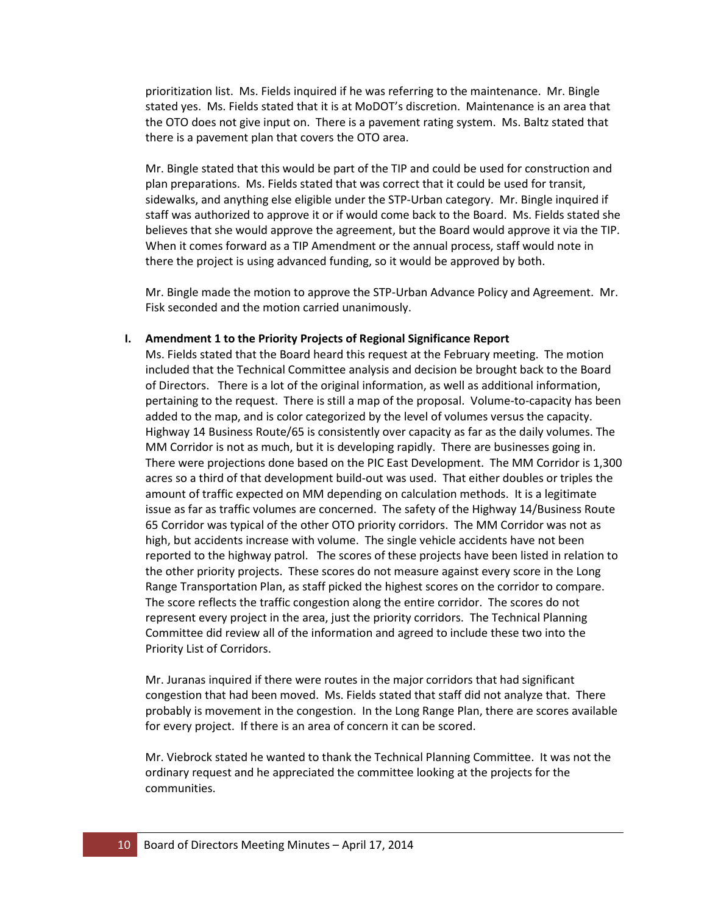prioritization list. Ms. Fields inquired if he was referring to the maintenance. Mr. Bingle stated yes. Ms. Fields stated that it is at MoDOT's discretion. Maintenance is an area that the OTO does not give input on. There is a pavement rating system. Ms. Baltz stated that there is a pavement plan that covers the OTO area.

Mr. Bingle stated that this would be part of the TIP and could be used for construction and plan preparations. Ms. Fields stated that was correct that it could be used for transit, sidewalks, and anything else eligible under the STP-Urban category. Mr. Bingle inquired if staff was authorized to approve it or if would come back to the Board. Ms. Fields stated she believes that she would approve the agreement, but the Board would approve it via the TIP. When it comes forward as a TIP Amendment or the annual process, staff would note in there the project is using advanced funding, so it would be approved by both.

Mr. Bingle made the motion to approve the STP-Urban Advance Policy and Agreement. Mr. Fisk seconded and the motion carried unanimously.

## **I. Amendment 1 to the Priority Projects of Regional Significance Report**

Ms. Fields stated that the Board heard this request at the February meeting. The motion included that the Technical Committee analysis and decision be brought back to the Board of Directors. There is a lot of the original information, as well as additional information, pertaining to the request. There is still a map of the proposal. Volume-to-capacity has been added to the map, and is color categorized by the level of volumes versus the capacity. Highway 14 Business Route/65 is consistently over capacity as far as the daily volumes. The MM Corridor is not as much, but it is developing rapidly. There are businesses going in. There were projections done based on the PIC East Development. The MM Corridor is 1,300 acres so a third of that development build-out was used. That either doubles or triples the amount of traffic expected on MM depending on calculation methods. It is a legitimate issue as far as traffic volumes are concerned. The safety of the Highway 14/Business Route 65 Corridor was typical of the other OTO priority corridors. The MM Corridor was not as high, but accidents increase with volume. The single vehicle accidents have not been reported to the highway patrol. The scores of these projects have been listed in relation to the other priority projects. These scores do not measure against every score in the Long Range Transportation Plan, as staff picked the highest scores on the corridor to compare. The score reflects the traffic congestion along the entire corridor. The scores do not represent every project in the area, just the priority corridors. The Technical Planning Committee did review all of the information and agreed to include these two into the Priority List of Corridors.

Mr. Juranas inquired if there were routes in the major corridors that had significant congestion that had been moved. Ms. Fields stated that staff did not analyze that. There probably is movement in the congestion. In the Long Range Plan, there are scores available for every project. If there is an area of concern it can be scored.

Mr. Viebrock stated he wanted to thank the Technical Planning Committee. It was not the ordinary request and he appreciated the committee looking at the projects for the communities.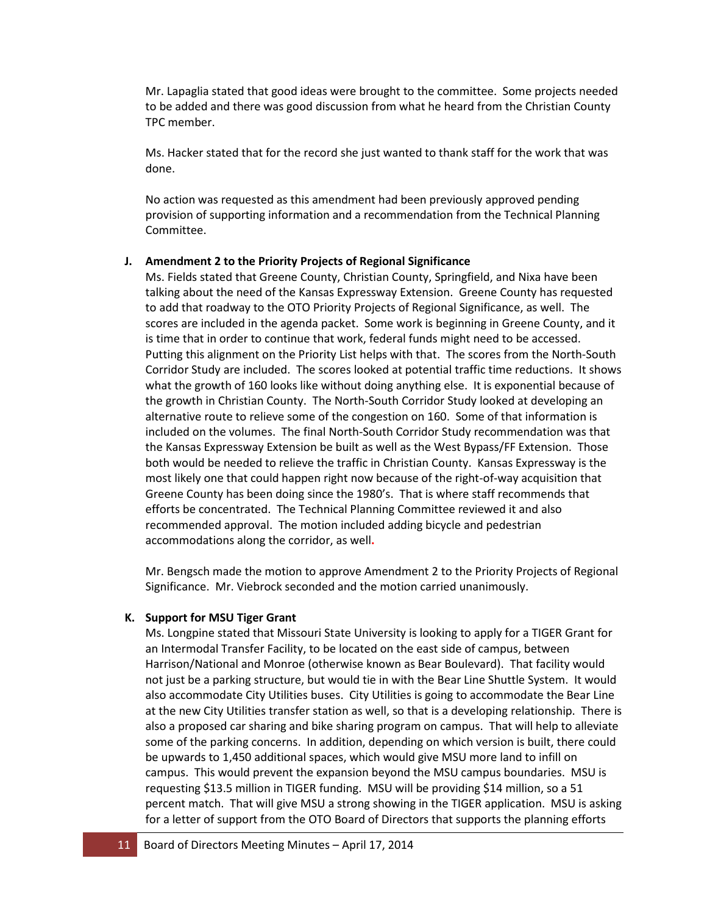Mr. Lapaglia stated that good ideas were brought to the committee. Some projects needed to be added and there was good discussion from what he heard from the Christian County TPC member.

Ms. Hacker stated that for the record she just wanted to thank staff for the work that was done.

No action was requested as this amendment had been previously approved pending provision of supporting information and a recommendation from the Technical Planning Committee.

#### **J. Amendment 2 to the Priority Projects of Regional Significance**

Ms. Fields stated that Greene County, Christian County, Springfield, and Nixa have been talking about the need of the Kansas Expressway Extension. Greene County has requested to add that roadway to the OTO Priority Projects of Regional Significance, as well. The scores are included in the agenda packet. Some work is beginning in Greene County, and it is time that in order to continue that work, federal funds might need to be accessed. Putting this alignment on the Priority List helps with that. The scores from the North-South Corridor Study are included. The scores looked at potential traffic time reductions. It shows what the growth of 160 looks like without doing anything else. It is exponential because of the growth in Christian County. The North-South Corridor Study looked at developing an alternative route to relieve some of the congestion on 160. Some of that information is included on the volumes. The final North-South Corridor Study recommendation was that the Kansas Expressway Extension be built as well as the West Bypass/FF Extension. Those both would be needed to relieve the traffic in Christian County. Kansas Expressway is the most likely one that could happen right now because of the right-of-way acquisition that Greene County has been doing since the 1980's. That is where staff recommends that efforts be concentrated. The Technical Planning Committee reviewed it and also recommended approval. The motion included adding bicycle and pedestrian accommodations along the corridor, as well**.** 

Mr. Bengsch made the motion to approve Amendment 2 to the Priority Projects of Regional Significance. Mr. Viebrock seconded and the motion carried unanimously.

#### **K. Support for MSU Tiger Grant**

Ms. Longpine stated that Missouri State University is looking to apply for a TIGER Grant for an Intermodal Transfer Facility, to be located on the east side of campus, between Harrison/National and Monroe (otherwise known as Bear Boulevard). That facility would not just be a parking structure, but would tie in with the Bear Line Shuttle System. It would also accommodate City Utilities buses. City Utilities is going to accommodate the Bear Line at the new City Utilities transfer station as well, so that is a developing relationship. There is also a proposed car sharing and bike sharing program on campus. That will help to alleviate some of the parking concerns. In addition, depending on which version is built, there could be upwards to 1,450 additional spaces, which would give MSU more land to infill on campus. This would prevent the expansion beyond the MSU campus boundaries. MSU is requesting \$13.5 million in TIGER funding. MSU will be providing \$14 million, so a 51 percent match. That will give MSU a strong showing in the TIGER application. MSU is asking for a letter of support from the OTO Board of Directors that supports the planning efforts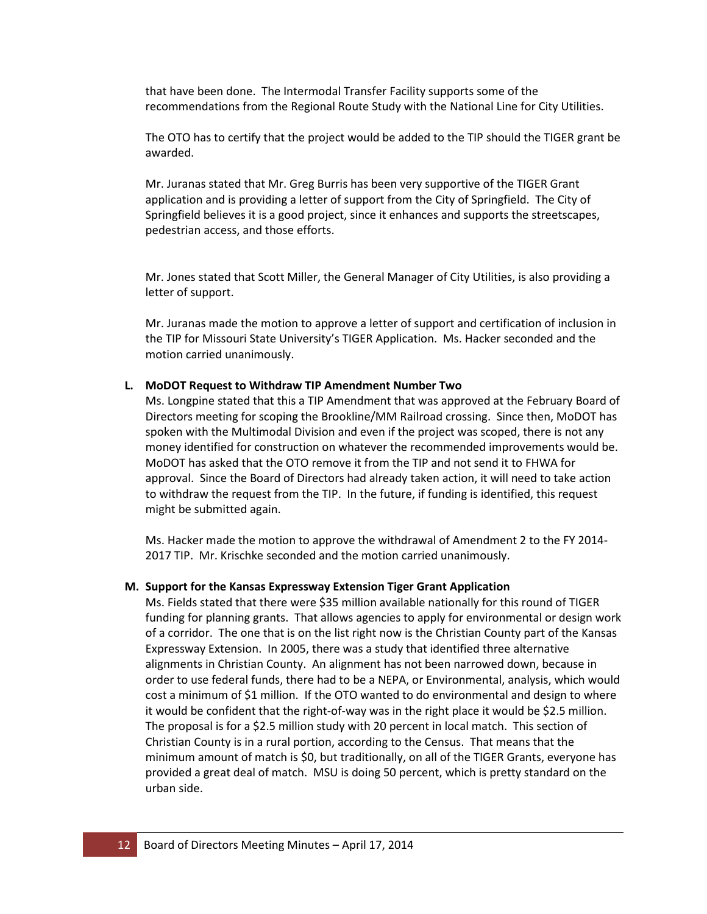that have been done. The Intermodal Transfer Facility supports some of the recommendations from the Regional Route Study with the National Line for City Utilities.

The OTO has to certify that the project would be added to the TIP should the TIGER grant be awarded.

Mr. Juranas stated that Mr. Greg Burris has been very supportive of the TIGER Grant application and is providing a letter of support from the City of Springfield. The City of Springfield believes it is a good project, since it enhances and supports the streetscapes, pedestrian access, and those efforts.

Mr. Jones stated that Scott Miller, the General Manager of City Utilities, is also providing a letter of support.

Mr. Juranas made the motion to approve a letter of support and certification of inclusion in the TIP for Missouri State University's TIGER Application. Ms. Hacker seconded and the motion carried unanimously.

#### **L. MoDOT Request to Withdraw TIP Amendment Number Two**

Ms. Longpine stated that this a TIP Amendment that was approved at the February Board of Directors meeting for scoping the Brookline/MM Railroad crossing. Since then, MoDOT has spoken with the Multimodal Division and even if the project was scoped, there is not any money identified for construction on whatever the recommended improvements would be. MoDOT has asked that the OTO remove it from the TIP and not send it to FHWA for approval. Since the Board of Directors had already taken action, it will need to take action to withdraw the request from the TIP. In the future, if funding is identified, this request might be submitted again.

Ms. Hacker made the motion to approve the withdrawal of Amendment 2 to the FY 2014- 2017 TIP. Mr. Krischke seconded and the motion carried unanimously.

#### **M. Support for the Kansas Expressway Extension Tiger Grant Application**

Ms. Fields stated that there were \$35 million available nationally for this round of TIGER funding for planning grants. That allows agencies to apply for environmental or design work of a corridor. The one that is on the list right now is the Christian County part of the Kansas Expressway Extension. In 2005, there was a study that identified three alternative alignments in Christian County. An alignment has not been narrowed down, because in order to use federal funds, there had to be a NEPA, or Environmental, analysis, which would cost a minimum of \$1 million. If the OTO wanted to do environmental and design to where it would be confident that the right-of-way was in the right place it would be \$2.5 million. The proposal is for a \$2.5 million study with 20 percent in local match. This section of Christian County is in a rural portion, according to the Census. That means that the minimum amount of match is \$0, but traditionally, on all of the TIGER Grants, everyone has provided a great deal of match. MSU is doing 50 percent, which is pretty standard on the urban side.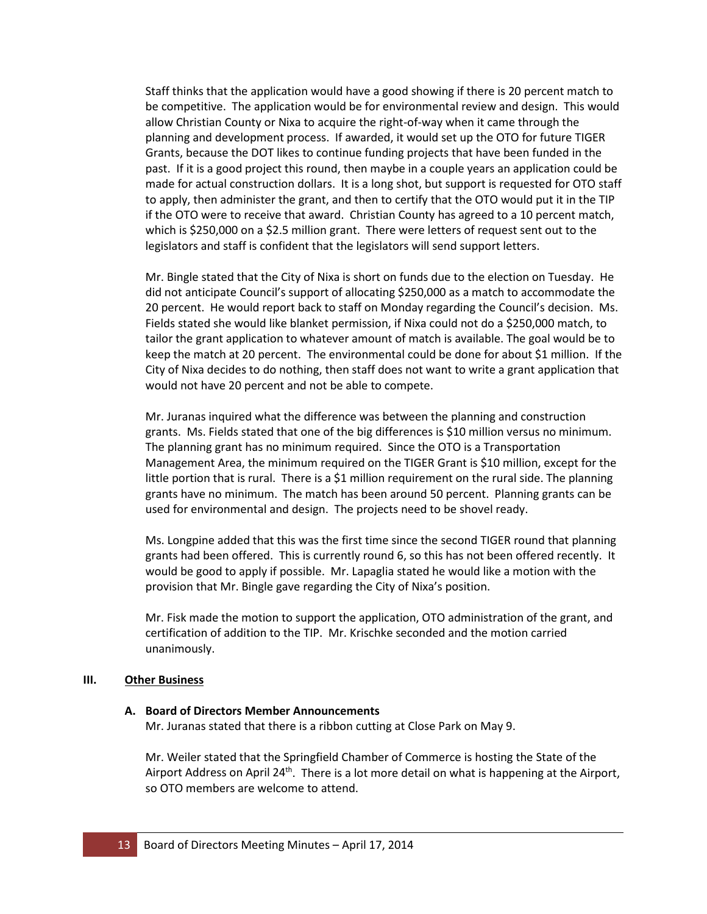Staff thinks that the application would have a good showing if there is 20 percent match to be competitive. The application would be for environmental review and design. This would allow Christian County or Nixa to acquire the right-of-way when it came through the planning and development process. If awarded, it would set up the OTO for future TIGER Grants, because the DOT likes to continue funding projects that have been funded in the past. If it is a good project this round, then maybe in a couple years an application could be made for actual construction dollars. It is a long shot, but support is requested for OTO staff to apply, then administer the grant, and then to certify that the OTO would put it in the TIP if the OTO were to receive that award. Christian County has agreed to a 10 percent match, which is \$250,000 on a \$2.5 million grant. There were letters of request sent out to the legislators and staff is confident that the legislators will send support letters.

Mr. Bingle stated that the City of Nixa is short on funds due to the election on Tuesday. He did not anticipate Council's support of allocating \$250,000 as a match to accommodate the 20 percent. He would report back to staff on Monday regarding the Council's decision. Ms. Fields stated she would like blanket permission, if Nixa could not do a \$250,000 match, to tailor the grant application to whatever amount of match is available. The goal would be to keep the match at 20 percent. The environmental could be done for about \$1 million. If the City of Nixa decides to do nothing, then staff does not want to write a grant application that would not have 20 percent and not be able to compete.

Mr. Juranas inquired what the difference was between the planning and construction grants. Ms. Fields stated that one of the big differences is \$10 million versus no minimum. The planning grant has no minimum required. Since the OTO is a Transportation Management Area, the minimum required on the TIGER Grant is \$10 million, except for the little portion that is rural. There is a \$1 million requirement on the rural side. The planning grants have no minimum. The match has been around 50 percent. Planning grants can be used for environmental and design. The projects need to be shovel ready.

Ms. Longpine added that this was the first time since the second TIGER round that planning grants had been offered. This is currently round 6, so this has not been offered recently. It would be good to apply if possible. Mr. Lapaglia stated he would like a motion with the provision that Mr. Bingle gave regarding the City of Nixa's position.

Mr. Fisk made the motion to support the application, OTO administration of the grant, and certification of addition to the TIP. Mr. Krischke seconded and the motion carried unanimously.

#### **III. Other Business**

#### **A. Board of Directors Member Announcements**

Mr. Juranas stated that there is a ribbon cutting at Close Park on May 9.

Mr. Weiler stated that the Springfield Chamber of Commerce is hosting the State of the Airport Address on April 24<sup>th</sup>. There is a lot more detail on what is happening at the Airport, so OTO members are welcome to attend.